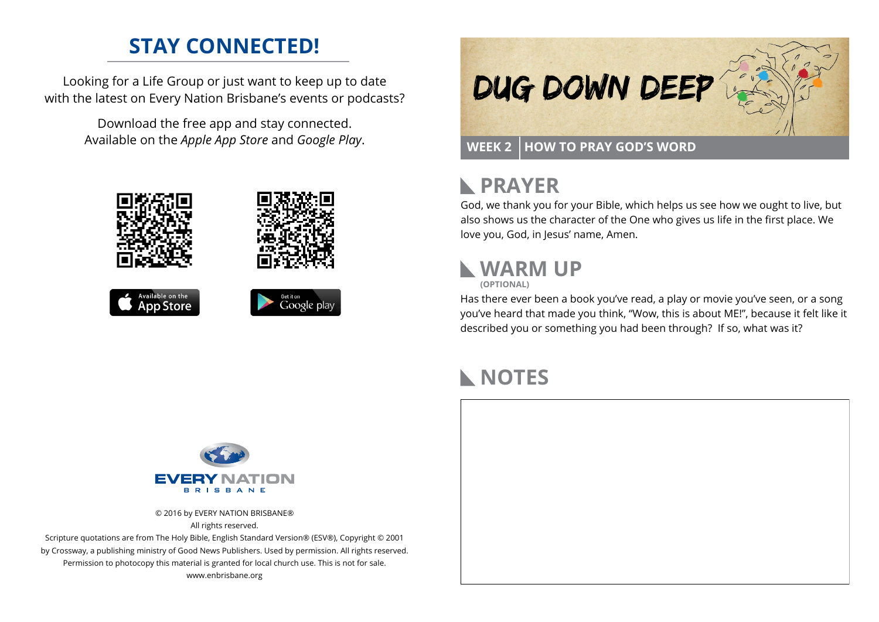### **STAY CONNECTED!**

Looking for a Life Group or just want to keep up to date with the latest on Every Nation Brisbane's events or podcasts?

> Download the free app and stay connected. Available on the *Apple App Store* and *Google Play*.





### **RAYER**

God, we thank you for your Bible, which helps us see how we ought to live, but also shows us the character of the One who gives us life in the first place. We love you, God, in Jesus' name, Amen.

## **WARM UP**

**(OPTIONAL)**

Has there ever been a book you've read, a play or movie you've seen, or a song you've heard that made you think, "Wow, this is about ME!", because it felt like it described you or something you had been through? If so, what was it?

### **NOTES**



© 2016 by EVERY NATION BRISBANE® All rights reserved.

Scripture quotations are from The Holy Bible, English Standard Version® (ESV®), Copyright © 2001 by Crossway, a publishing ministry of Good News Publishers. Used by permission. All rights reserved. Permission to photocopy this material is granted for local church use. This is not for sale. www.enbrisbane.org